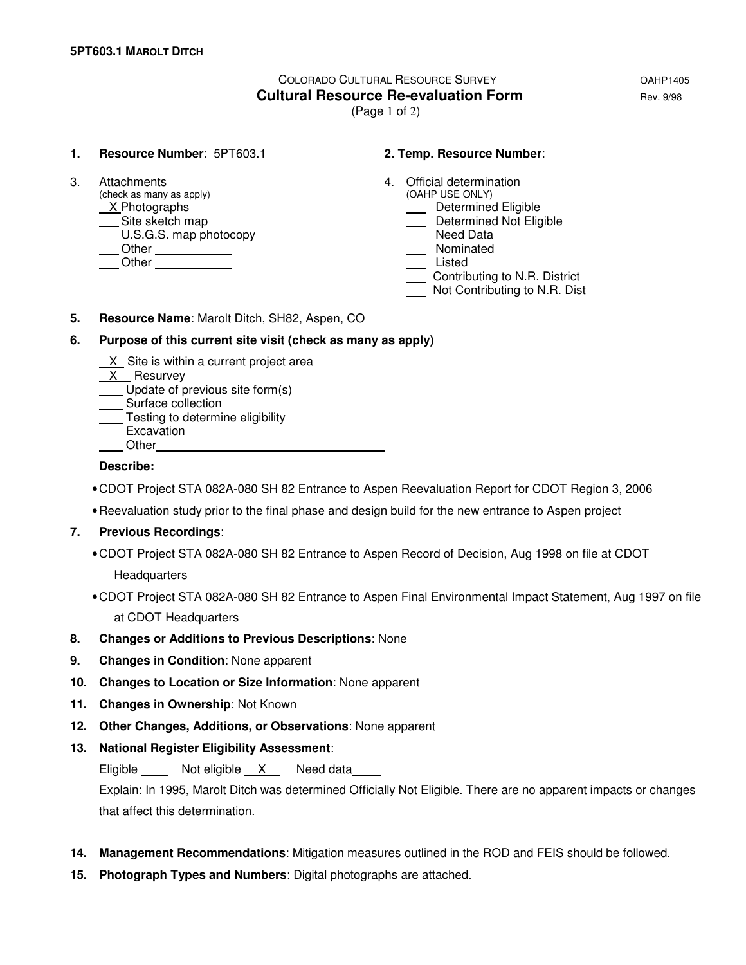# COLORADO CULTURAL RESOURCE SURVEY OAHP1405 **Cultural Resource Re-evaluation Form Equation Rev. 9/98**

(Page 1 of 2)

#### **1. Resource Number**: 5PT603.1 **2. Temp. Resource Number**:

 $(check as many as apply)$ X Photographs **Determined Eligible**<br>
Site sketch map<br>
Determined Not Elig  $\underline{\hspace{1cm}}$  U.S.G.S. map photocopy Other Nominated Listed Chern Chern Chern Chern Chern Chern Chern Chern Chern Chern Chern Chern Chern Chern Chern Chern Chern Chern Chern Chern Chern Chern Chern Chern Chern Chern Chern Chern Chern Chern Chern Chern Chern Chern Chern Chern

- 3. Attachments 4. Official determination<br>
(check as many as apply) (OAHP USE ONLY)
	-
	- Determined Not Eligible<br>
	Need Data
	-
	-
	-
	- Contributing to N.R. District
	- Not Contributing to N.R. Dist
- **5. Resource Name**: Marolt Ditch, SH82, Aspen, CO

### **6. Purpose of this current site visit (check as many as apply)**

- X Site is within a current project area
- X Resurvey
- Update of previous site form(s)
- Surface collection
- **Testing to determine eligibility** <u>Lesting</u><br>Excavation
- 
- **Other**

### **Describe:**

- CDOT Project STA 082A-080 SH 82 Entrance to Aspen Reevaluation Report for CDOT Region 3, 2006
- Reevaluation study prior to the final phase and design build for the new entrance to Aspen project

## **7. Previous Recordings**:

- CDOT Project STA 082A-080 SH 82 Entrance to Aspen Record of Decision, Aug 1998 on file at CDOT **Headquarters**
- CDOT Project STA 082A-080 SH 82 Entrance to Aspen Final Environmental Impact Statement, Aug 1997 on file at CDOT Headquarters
- **8. Changes or Additions to Previous Descriptions**: None
- **9. Changes in Condition**: None apparent
- **10. Changes to Location or Size Information**: None apparent
- **11. Changes in Ownership**: Not Known
- **12. Other Changes, Additions, or Observations**: None apparent
- **13. National Register Eligibility Assessment**:

Eligible Not eligible X Need data

 Explain: In 1995, Marolt Ditch was determined Officially Not Eligible. There are no apparent impacts or changes that affect this determination.

- **14. Management Recommendations**: Mitigation measures outlined in the ROD and FEIS should be followed.
- **15. Photograph Types and Numbers**: Digital photographs are attached.